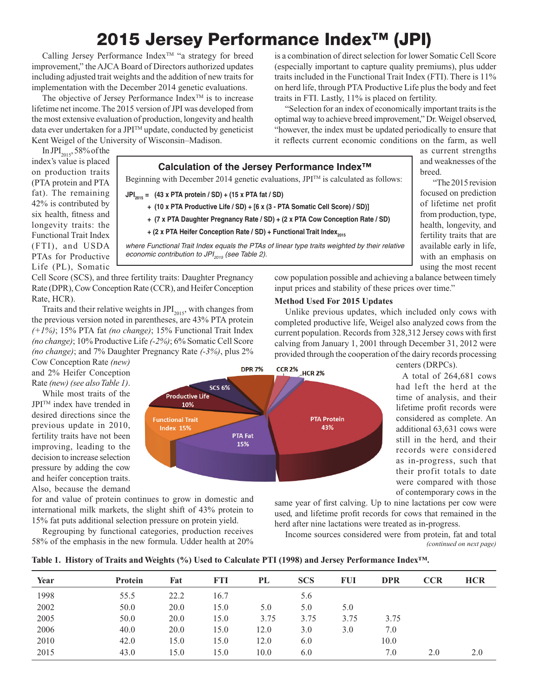# 2015 Jersey Performance Index<sup>™</sup> (JPI)

Calling Jersey Performance Index<sup>TM</sup> "a strategy for breed improvement," the AJCA Board of Directors authorized updates including adjusted trait weights and the addition of new traits for implementation with the December 2014 genetic evaluations.

The objective of Jersey Performance Index<sup>TM</sup> is to increase lifetime net income. The 2015 version of JPI was developed from the most extensive evaluation of production, longevity and health data ever undertaken for a JPITM update, conducted by geneticist Kent Weigel of the University of Wisconsin–Madison.

is a combination of direct selection for lower Somatic Cell Score (especially important to capture quality premiums), plus udder traits included in the Functional Trait Index (FTI). There is 11% on herd life, through PTA Productive Life plus the body and feet traits in FTI. Lastly, 11% is placed on fertility.

"Selection for an index of economically important traits is the optimal way to achieve breed improvement," Dr. Weigel observed, "however, the index must be updated periodically to ensure that it reflects current economic conditions on the farm, as well

as current strengths and weaknesses of the breed.

"The 2015 revision focused on prediction of lifetime net profit from production, type, health, longevity, and fertility traits that are available early in life, with an emphasis on using the most recent

In JPI $_{2015}$ , 58% of the index's value is placed on production traits (PTA protein and PTA fat). The remaining 42% is contributed by six health, fitness and longevity traits: the Functional Trait Index (FTI), and USDA PTAs for Productive Life (PL), Somatic



- **JPI2015 = (43 x PTA protein / SD) + (15 x PTA fat / SD)**
	- **+ (10 x PTA Productive Life / SD) + [6 x (3 PTA Somatic Cell Score) / SD)]**
	- **+ (7 x PTA Daughter Pregnancy Rate / SD) + (2 x PTA Cow Conception Rate / SD)**
	- **+ (2 x PTA Heifer Conception Rate / SD) + Functional Trait Index**<sub>2015</sub>

*where Functional Trait Index equals the PTAs of linear type traits weighted by their relative economic contribution to JPI<sub>2015</sub> (see Table 2).* 

Cell Score (SCS), and three fertility traits: Daughter Pregnancy Rate (DPR), Cow Conception Rate (CCR), and Heifer Conception Rate, HCR).

Traits and their relative weights in  $JPI_{2015}$ , with changes from the previous version noted in parentheses, are 43% PTA protein *(+1%)*; 15% PTA fat *(no change)*; 15% Functional Trait Index *(no change)*; 10% Productive Life *(-2%)*; 6% Somatic Cell Score *(no change)*; and 7% Daughter Pregnancy Rate *(-3%)*, plus 2%

Cow Conception Rate *(new)* and 2% Heifer Conception Rate *(new) (see also Table 1)*.

While most traits of the JPITM index have trended in desired directions since the previous update in 2010, fertility traits have not been improving, leading to the decision to increase selection pressure by adding the cow and heifer conception traits. Also, because the demand

for and value of protein continues to grow in domestic and international milk markets, the slight shift of 43% protein to 15% fat puts additional selection pressure on protein yield.

Regrouping by functional categories, production receives 58% of the emphasis in the new formula. Udder health at 20% cow population possible and achieving a balance between timely input prices and stability of these prices over time."

## **Method Used For 2015 Updates**

Unlike previous updates, which included only cows with completed productive life, Weigel also analyzed cows from the current population. Records from 328,312 Jersey cows with first calving from January 1, 2001 through December 31, 2012 were provided through the cooperation of the dairy records processing



centers (DRPCs).

A total of 264,681 cows had left the herd at the time of analysis, and their lifetime profit records were considered as complete. An additional 63,631 cows were still in the herd, and their records were considered as in-progress, such that their profit totals to date were compared with those of contemporary cows in the

same year of first calving. Up to nine lactations per cow were used, and lifetime profit records for cows that remained in the herd after nine lactations were treated as in-progress.

Income sources considered were from protein, fat and total *(continued on next page)*

|  |  |  |  |  | Table 1. History of Traits and Weights (%) Used to Calculate PTI (1998) and Jersey Performance Index™. |  |
|--|--|--|--|--|--------------------------------------------------------------------------------------------------------|--|
|  |  |  |  |  |                                                                                                        |  |

| Year | <b>Protein</b> | Fat  | FTI  | PL   | <b>SCS</b> | <b>FUI</b> | <b>DPR</b> | CCR | <b>HCR</b> |
|------|----------------|------|------|------|------------|------------|------------|-----|------------|
| 1998 | 55.5           | 22.2 | 16.7 |      | 5.6        |            |            |     |            |
| 2002 | 50.0           | 20.0 | 15.0 | 5.0  | 5.0        | 5.0        |            |     |            |
| 2005 | 50.0           | 20.0 | 15.0 | 3.75 | 3.75       | 3.75       | 3.75       |     |            |
| 2006 | 40.0           | 20.0 | 15.0 | 12.0 | 3.0        | 3.0        | 7.0        |     |            |
| 2010 | 42.0           | 15.0 | 15.0 | 12.0 | 6.0        |            | 10.0       |     |            |
| 2015 | 43.0           | 15.0 | 15.0 | 10.0 | 6.0        |            | 7.0        | 2.0 | 2.0        |